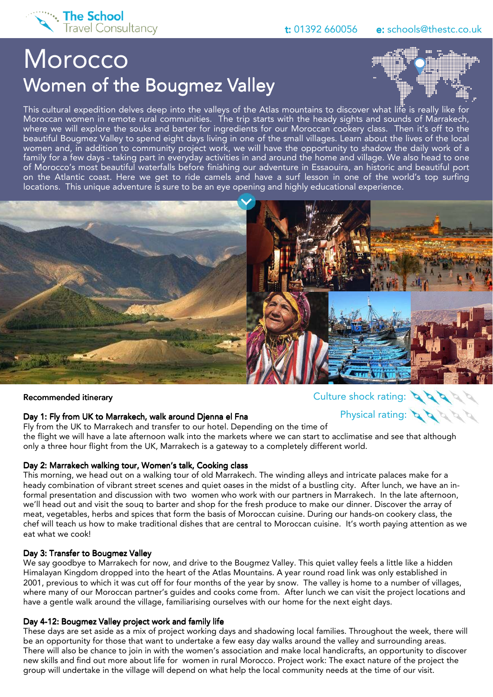

Physical rating:

# **Morocco** Women of the Bougmez Valley



This cultural expedition delves deep into the valleys of the Atlas mountains to discover what life is really like for Moroccan women in remote rural communities. The trip starts with the heady sights and sounds of Marrakech, where we will explore the souks and barter for ingredients for our Moroccan cookery class. Then it's off to the beautiful Bougmez Valley to spend eight days living in one of the small villages. Learn about the lives of the local women and, in addition to community project work, we will have the opportunity to shadow the daily work of a family for a few days - taking part in everyday activities in and around the home and village. We also head to one of Morocco's most beautiful waterfalls before finishing our adventure in Essaouira, an historic and beautiful port on the Atlantic coast. Here we get to ride camels and have a surf lesson in one of the world's top surfing locations. This unique adventure is sure to be an eye opening and highly educational experience.



#### Recommended itinerary Recommended itinerary

#### Day 1: Fly from UK to Marrakech, walk around Djenna el Fna

Fly from the UK to Marrakech and transfer to our hotel. Depending on the time of the flight we will have a late afternoon walk into the markets where we can start to acclimatise and see that although only a three hour flight from the UK, Marrakech is a gateway to a completely different world.

#### Day 2: Marrakech walking tour, Women's talk, Cooking class

This morning, we head out on a walking tour of old Marrakech. The winding alleys and intricate palaces make for a heady combination of vibrant street scenes and quiet oases in the midst of a bustling city. After lunch, we have an informal presentation and discussion with two women who work with our partners in Marrakech. In the late afternoon, we'll head out and visit the souq to barter and shop for the fresh produce to make our dinner. Discover the array of meat, vegetables, herbs and spices that form the basis of Moroccan cuisine. During our hands-on cookery class, the chef will teach us how to make traditional dishes that are central to Moroccan cuisine. It's worth paying attention as we eat what we cook!

#### Day 3: Transfer to Bougmez Valley

We say goodbye to Marrakech for now, and drive to the Bougmez Valley. This quiet valley feels a little like a hidden Himalayan Kingdom dropped into the heart of the Atlas Mountains. A year round road link was only established in 2001, previous to which it was cut off for four months of the year by snow. The valley is home to a number of villages, where many of our Moroccan partner's guides and cooks come from. After lunch we can visit the project locations and have a gentle walk around the village, familiarising ourselves with our home for the next eight days.

#### Day 4-12: Bougmez Valley project work and family life

These days are set aside as a mix of project working days and shadowing local families. Throughout the week, there will be an opportunity for those that want to undertake a few easy day walks around the valley and surrounding areas. There will also be chance to join in with the women's association and make local handicrafts, an opportunity to discover new skills and find out more about life for women in rural Morocco. Project work: The exact nature of the project the group will undertake in the village will depend on what help the local community needs at the time of our visit.